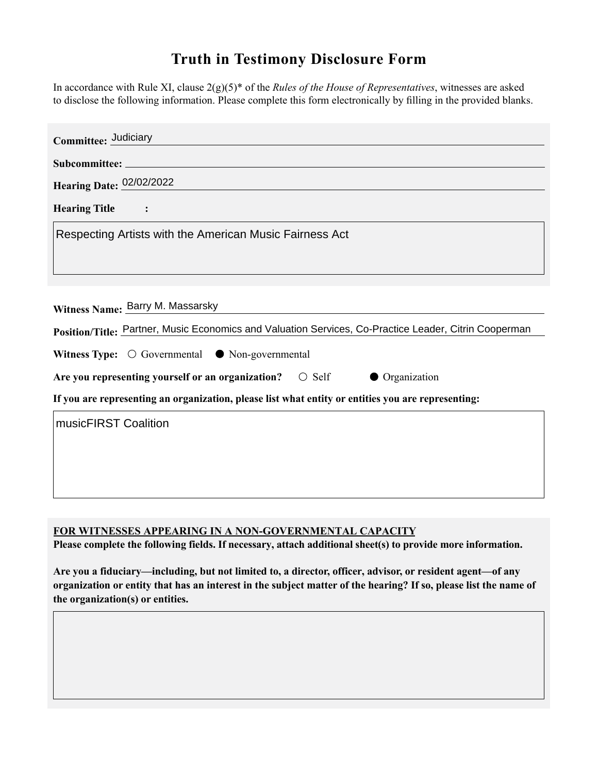## **Truth in Testimony Disclosure Form**

In accordance with Rule XI, clause 2(g)(5)\* of the *Rules of the House of Representatives*, witnesses are asked to disclose the following information. Please complete this form electronically by filling in the provided blanks.

| Committee: Judiciary                                                                                  |
|-------------------------------------------------------------------------------------------------------|
|                                                                                                       |
| Hearing Date: 02/02/2022                                                                              |
| <b>Hearing Title</b><br>$\sim$ $\sim$ $\sim$                                                          |
| Respecting Artists with the American Music Fairness Act                                               |
|                                                                                                       |
|                                                                                                       |
| Witness Name: Barry M. Massarsky                                                                      |
| Position/Title: Partner, Music Economics and Valuation Services, Co-Practice Leader, Citrin Cooperman |
| Witness Type: $\bigcirc$ Governmental $\bullet$ Non-governmental                                      |
| Are you representing yourself or an organization? $\circ$ Self<br>• Organization                      |
| If you are representing an organization, please list what entity or entities you are representing:    |
| musicFIRST Coalition                                                                                  |
|                                                                                                       |
|                                                                                                       |
|                                                                                                       |

**FOR WITNESSES APPEARING IN A NON-GOVERNMENTAL CAPACITY**

**Please complete the following fields. If necessary, attach additional sheet(s) to provide more information.**

**Are you a fiduciary—including, but not limited to, a director, officer, advisor, or resident agent—of any organization or entity that has an interest in the subject matter of the hearing? If so, please list the name of the organization(s) or entities.**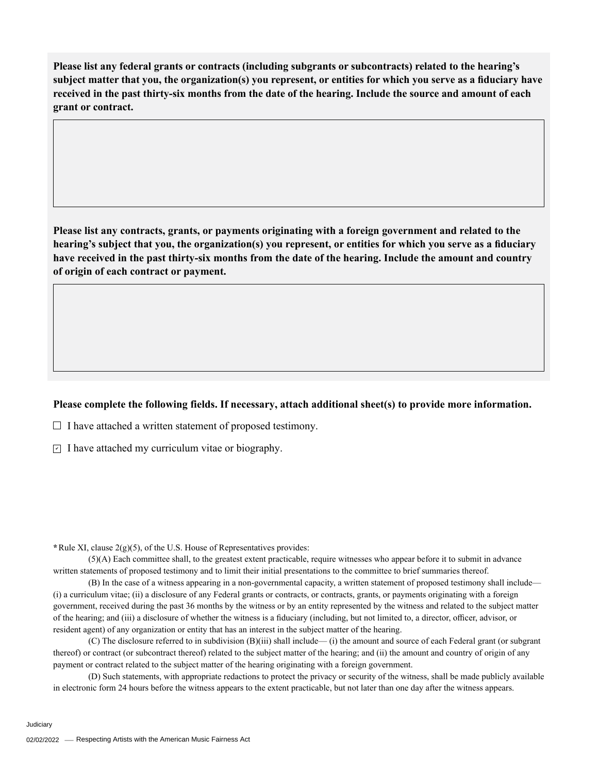**Please list any federal grants or contracts (including subgrants or subcontracts) related to the hearing's subject matter that you, the organization(s) you represent, or entities for which you serve as a fiduciary have received in the past thirty-six months from the date of the hearing. Include the source and amount of each grant or contract.** 

**Please list any contracts, grants, or payments originating with a foreign government and related to the hearing's subject that you, the organization(s) you represent, or entities for which you serve as a fiduciary have received in the past thirty-six months from the date of the hearing. Include the amount and country of origin of each contract or payment.** 

## **Please complete the following fields. If necessary, attach additional sheet(s) to provide more information.**

 $\Box$  I have attached a written statement of proposed testimony.

 $\subseteq$  I have attached my curriculum vitae or biography.

**\***Rule XI, clause 2(g)(5), of the U.S. House of Representatives provides:

(5)(A) Each committee shall, to the greatest extent practicable, require witnesses who appear before it to submit in advance written statements of proposed testimony and to limit their initial presentations to the committee to brief summaries thereof.

(B) In the case of a witness appearing in a non-governmental capacity, a written statement of proposed testimony shall include— (i) a curriculum vitae; (ii) a disclosure of any Federal grants or contracts, or contracts, grants, or payments originating with a foreign government, received during the past 36 months by the witness or by an entity represented by the witness and related to the subject matter of the hearing; and (iii) a disclosure of whether the witness is a fiduciary (including, but not limited to, a director, officer, advisor, or resident agent) of any organization or entity that has an interest in the subject matter of the hearing.

(C) The disclosure referred to in subdivision (B)(iii) shall include— (i) the amount and source of each Federal grant (or subgrant thereof) or contract (or subcontract thereof) related to the subject matter of the hearing; and (ii) the amount and country of origin of any payment or contract related to the subject matter of the hearing originating with a foreign government.

(D) Such statements, with appropriate redactions to protect the privacy or security of the witness, shall be made publicly available in electronic form 24 hours before the witness appears to the extent practicable, but not later than one day after the witness appears.